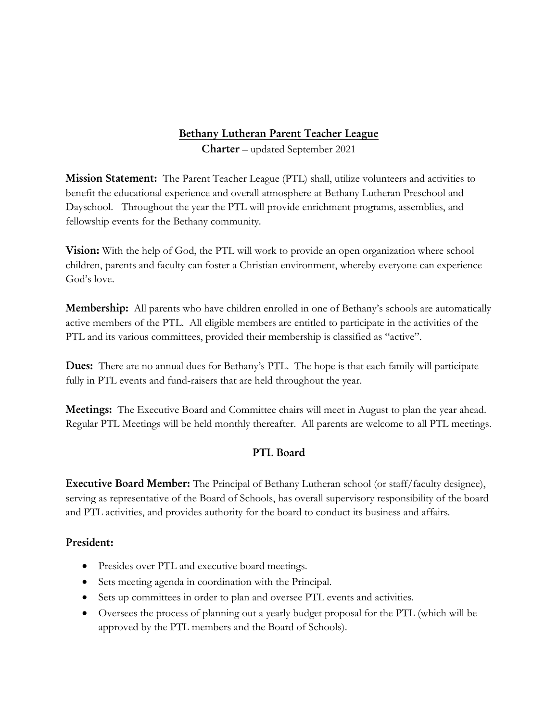# **Bethany Lutheran Parent Teacher League**

**Charter** – updated September 2021

**Mission Statement:** The Parent Teacher League (PTL) shall, utilize volunteers and activities to benefit the educational experience and overall atmosphere at Bethany Lutheran Preschool and Dayschool. Throughout the year the PTL will provide enrichment programs, assemblies, and fellowship events for the Bethany community.

**Vision:** With the help of God, the PTL will work to provide an open organization where school children, parents and faculty can foster a Christian environment, whereby everyone can experience God's love.

**Membership:** All parents who have children enrolled in one of Bethany's schools are automatically active members of the PTL. All eligible members are entitled to participate in the activities of the PTL and its various committees, provided their membership is classified as "active".

**Dues:** There are no annual dues for Bethany's PTL. The hope is that each family will participate fully in PTL events and fund-raisers that are held throughout the year.

**Meetings:** The Executive Board and Committee chairs will meet in August to plan the year ahead. Regular PTL Meetings will be held monthly thereafter. All parents are welcome to all PTL meetings.

# **PTL Board**

**Executive Board Member:** The Principal of Bethany Lutheran school (or staff/faculty designee), serving as representative of the Board of Schools, has overall supervisory responsibility of the board and PTL activities, and provides authority for the board to conduct its business and affairs.

### **President:**

- Presides over PTL and executive board meetings.
- Sets meeting agenda in coordination with the Principal.
- Sets up committees in order to plan and oversee PTL events and activities.
- Oversees the process of planning out a yearly budget proposal for the PTL (which will be approved by the PTL members and the Board of Schools).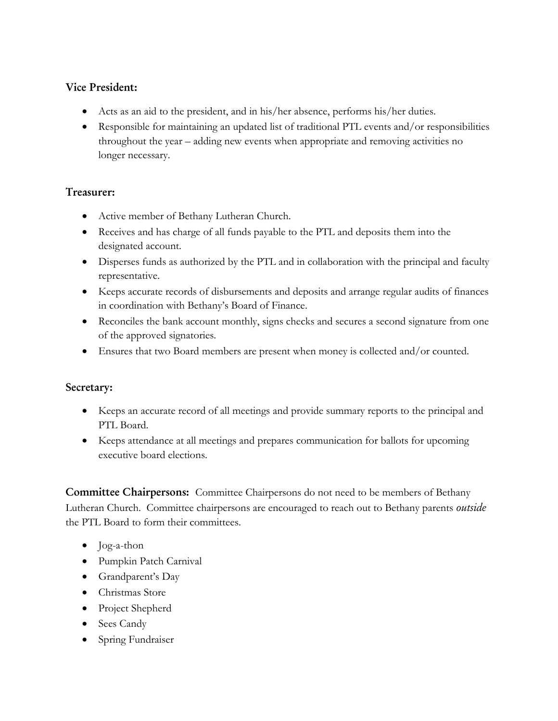#### **Vice President:**

- Acts as an aid to the president, and in his/her absence, performs his/her duties.
- Responsible for maintaining an updated list of traditional PTL events and/or responsibilities throughout the year – adding new events when appropriate and removing activities no longer necessary.

### **Treasurer:**

- Active member of Bethany Lutheran Church.
- Receives and has charge of all funds payable to the PTL and deposits them into the designated account.
- Disperses funds as authorized by the PTL and in collaboration with the principal and faculty representative.
- Keeps accurate records of disbursements and deposits and arrange regular audits of finances in coordination with Bethany's Board of Finance.
- Reconciles the bank account monthly, signs checks and secures a second signature from one of the approved signatories.
- Ensures that two Board members are present when money is collected and/or counted.

### **Secretary:**

- Keeps an accurate record of all meetings and provide summary reports to the principal and PTL Board.
- Keeps attendance at all meetings and prepares communication for ballots for upcoming executive board elections.

**Committee Chairpersons:** Committee Chairpersons do not need to be members of Bethany Lutheran Church. Committee chairpersons are encouraged to reach out to Bethany parents *outside* the PTL Board to form their committees.

- Jog-a-thon
- Pumpkin Patch Carnival
- Grandparent's Day
- Christmas Store
- Project Shepherd
- Sees Candy
- Spring Fundraiser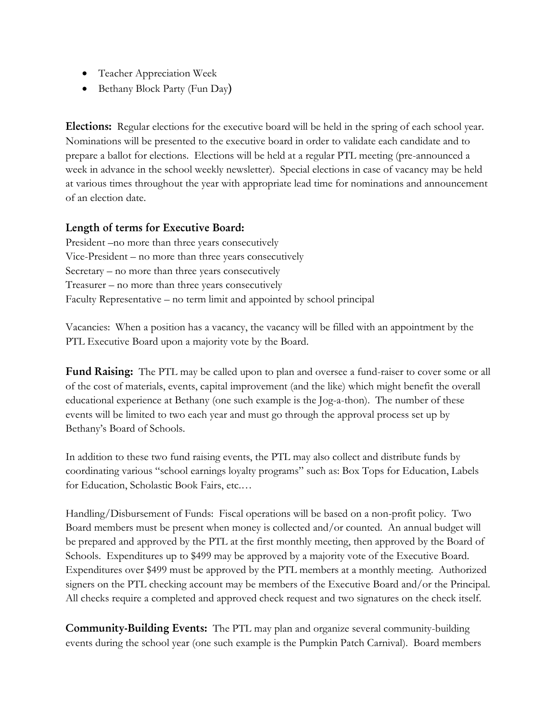- Teacher Appreciation Week
- Bethany Block Party (Fun Day**)**

**Elections:** Regular elections for the executive board will be held in the spring of each school year. Nominations will be presented to the executive board in order to validate each candidate and to prepare a ballot for elections. Elections will be held at a regular PTL meeting (pre-announced a week in advance in the school weekly newsletter). Special elections in case of vacancy may be held at various times throughout the year with appropriate lead time for nominations and announcement of an election date.

#### **Length of terms for Executive Board:**

President –no more than three years consecutively Vice-President – no more than three years consecutively Secretary – no more than three years consecutively Treasurer – no more than three years consecutively Faculty Representative – no term limit and appointed by school principal

Vacancies: When a position has a vacancy, the vacancy will be filled with an appointment by the PTL Executive Board upon a majority vote by the Board.

**Fund Raising:** The PTL may be called upon to plan and oversee a fund-raiser to cover some or all of the cost of materials, events, capital improvement (and the like) which might benefit the overall educational experience at Bethany (one such example is the Jog-a-thon). The number of these events will be limited to two each year and must go through the approval process set up by Bethany's Board of Schools.

In addition to these two fund raising events, the PTL may also collect and distribute funds by coordinating various "school earnings loyalty programs" such as: Box Tops for Education, Labels for Education, Scholastic Book Fairs, etc.…

Handling/Disbursement of Funds: Fiscal operations will be based on a non-profit policy. Two Board members must be present when money is collected and/or counted. An annual budget will be prepared and approved by the PTL at the first monthly meeting, then approved by the Board of Schools. Expenditures up to \$499 may be approved by a majority vote of the Executive Board. Expenditures over \$499 must be approved by the PTL members at a monthly meeting. Authorized signers on the PTL checking account may be members of the Executive Board and/or the Principal. All checks require a completed and approved check request and two signatures on the check itself.

**Community-Building Events:** The PTL may plan and organize several community-building events during the school year (one such example is the Pumpkin Patch Carnival). Board members